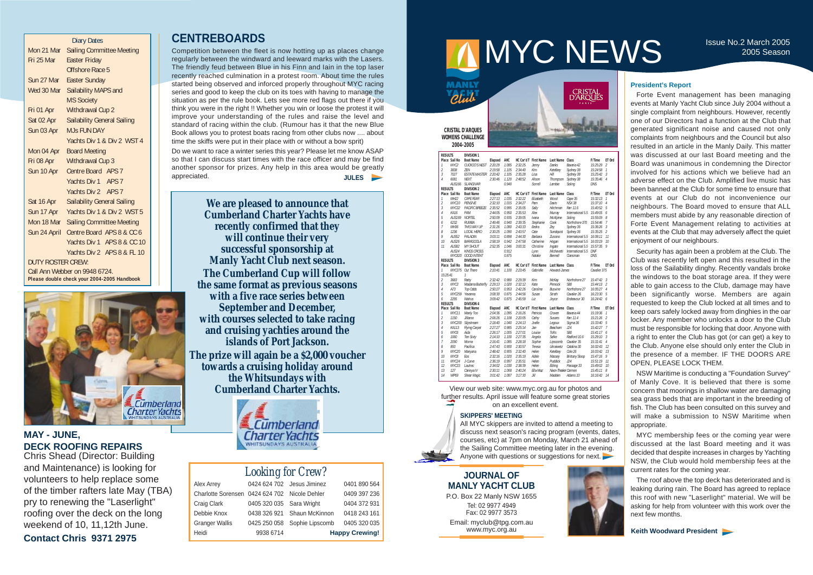|                   | <b>Diary Dates</b>                          |
|-------------------|---------------------------------------------|
| Mon 21 Mar        | <b>Sailing Committee Meeting</b>            |
| Fri 25 Mar        | <b>Easter Friday</b>                        |
|                   | Offshore Race 5                             |
| Sun 27 Mar        | <b>Easter Sunday</b>                        |
| Wed 30 Mar        | Sailability MAPS and                        |
|                   | <b>MS Society</b>                           |
| Fri 01 Apr        | Withdrawal Cup 2                            |
| Sat 02 Apr        | <b>Sailability General Sailing</b>          |
| Sun 03 Apr        | M.Js FUN DAY                                |
|                   | Yachts Div 1 & Div 2 WST 4                  |
| Mon 04 Apr        | <b>Board Meeting</b>                        |
| Fri 08 Apr        | <b>Withdrawal Cup 3</b>                     |
| Sun 10 Apr        | Centre Board APS 7                          |
|                   | Yachts Div 1 APS 7                          |
|                   | Yachts Div 2 APS 7                          |
| Sat 16 Apr        | <b>Sailability General Sailing</b>          |
| Sun 17 Apr        | Yachts Div 1 & Div 2 WST 5                  |
| Mon 18 Mar        | <b>Sailing Committee Meeting</b>            |
| Sun 24 April      | Centre Board APS 8 & CC 6                   |
|                   | Yachts Div 1 APS 8 & CC 10                  |
|                   | Yachts Div 2 APS 8 & FL 10                  |
| DUTY ROSTER CREW: |                                             |
|                   | Call Ann Webber on 9948 6724.               |
|                   | Please double check your 2004-2005 Handbook |



## **JOURNAL OF MANLY YACHT CLUB**

P.O. Box 22 Manly NSW 1655 Tel: 02 9977 4949 Fax: 02 9977 3573 Email: myclub@tpg.com.au www.myc.org.au



#### **President's Report**

Forte Event management has been managing events at Manly Yacht Club since July 2004 without a single complaint from neighbours. However, recently one of our Directors had a function at the Club that generated significant noise and caused not only complaints from neighbours and the Council but also resulted in an article in the Manly Daily. This matter was discussed at our last Board meeting and the Board was unanimous in condemning the Director involved for his actions which we believe had an adverse effect on the Club. Amplified live music has been banned at the Club for some time to ensure that events at our Club do not inconvenience our neighbours. The Board moved to ensure that ALL members must abide by any reasonable direction of Forte Event Management relating to activities at events at the Club that may adversely affect the quiet enjoyment of our neighbours.

Security has again been a problem at the Club. The Club was recently left open and this resulted in the loss of the Sailability dinghy. Recently vandals broke the windows to the boat storage area. If they were able to gain access to the Club, damage may have been significantly worse. Members are again requested to keep the Club locked at all times and to keep oars safely locked away from dinghies in the oar locker. Any member who unlocks a door to the Club must be responsible for locking that door. Anyone with a right to enter the Club has got (or can get) a key to the Club. Anyone else should only enter the Club in the presence of a member. IF THE DOORS ARE OPEN, PLEASE LOCK THEM.

|                                               | <b>Looking for Crew?</b>   |
|-----------------------------------------------|----------------------------|
| Alex Arrey                                    | 0424 624 702 Jesus Jiminez |
| Charlotte Sorensen 0424 624 702 Nicole Dehler |                            |

All MYC skippers are invited to attend a meeting to discuss next season's racing program (events, dates, courses, etc) at 7pm on Monday, March 21 ahead of the Sailing Committee meeting later in the evening. Anyone with questions or suggestions for next.

NSW Maritime is conducting a "Foundation Survey" of Manly Cove. It is believed that there is some concern that moorings in shallow water are damaging sea grass beds that are important in the breeding of fish. The Club has been consulted on this survey and will make a submission to NSW Maritime when appropriate.

MYC membership fees or the coming year were discussed at the last Board meeting and it was decided that despite increases in charges by Yachting NSW, the Club would hold membership fees at the current rates for the coming year.

The roof above the top deck has deteriorated and is leaking during rain. The Board has agreed to replace this roof with new "Laserlight" material. We will be asking for help from volunteer with this work over the next few months.

**Keith Woodward President** 

## **CENTREBOARDS**

Competition between the fleet is now hotting up as places change regularly between the windward and leeward marks with the Lasers. The friendly feud between Blue in his Finn and Iain in the top laser recently reached culmination in a protest room. About time the rules started being observed and inforced properly throughout MYC racing series and good to keep the club on its toes with having to manage the situation as per the rule book. Lets see more red flags out there if you think you were in the right !! Whether you win or loose the protest it will improve your understanding of the rules and raise the level and standard of racing within the club. (Rumour has it that the new Blue Book allows you to protest boats racing from other clubs now .... about time the skiffs were put in their place with or without a bow sprit)

Do we want to race a winter series this year? Please let me know ASAP so that I can discuss start times with the race officer and may be find another sponsor for prizes. Any help in this area would be greatly appreciated. **JULES**

|    | 9938 6714                        |                                | <b>Happy Crewing!</b> |
|----|----------------------------------|--------------------------------|-----------------------|
| is |                                  | 0425 250 058 Sophie Lipscomb   | 0405 320 035          |
|    |                                  | 0438 326 921 Shaun McKinnon    | 0418 243 161          |
|    | 0405 320 035 Sara Wright         |                                | 0404 372 931          |
|    | ensen 0424 624 702 Nicole Dehler |                                | 0409 397 236          |
|    |                                  | U4Z4 UZ4 TUZ UCSUS JIIIIIIIICZ | <u>040 i 090 Ju4</u>  |

 $0.401$  800  $564$ 

# MYC NEWS ISSUE No.2 March 2005

MANLY Club

CRISTAL<br>D'ARQUES

#### **SKIPPERS' MEETING**

**We are pleased to announce that Cumberland Charter Yachts have recently confirmed that they will continue their very successful sponsorship at Manly Yacht Club next season. The Cumberland Cup will follow the same format as previous seasons with a five race series between September and December, with courses selected to take racing and cruising yachties around the islands of Port Jackson. The prize will again be a \$2,000 voucher towards a cruising holiday around the Whitsundays with Cumberland Charter Yachts.** 



Craig Clark Debbie Knox Granger Wall Heidi

## **MAY - JUNE, DECK ROOFING REPAIRS**

Chris Shead (Director: Building and Maintenance) is looking for volunteers to help replace some of the timber rafters late May (TBA) pry to renewing the "Laserlight" roofing over the deck on the long weekend of 10, 11,12th June. **Contact Chris 9371 2975**

| <b>RESULTS</b> |                  | <b>DIVISION 1</b>     |                |            |         |                              |                      |                       |              |                |
|----------------|------------------|-----------------------|----------------|------------|---------|------------------------------|----------------------|-----------------------|--------------|----------------|
|                | Place Sail No    | <b>Boat Name</b>      | <b>Elapsed</b> | <b>AHC</b> |         | <b>HC Cor'd T First Name</b> | <b>Last Name</b>     | Class                 | F/Time       | ET Ord         |
| 1              | MYC2             | CUCKOO'S NEST         | 2:20:29        | 1.085      | 2:32:25 | Jenny                        | Danks                | Bavaria 42            | 15:25:29     | $\overline{2}$ |
| $\overline{2}$ | 3838             | ZEN                   | 2:19:58        | 1.105      | 2:34:40 | Kim                          | Ketelbev             | Sydney 38             | 15:24:58     | $\mathcal{I}$  |
| 3              | 7027             | <b>ESTATE MASTER</b>  | 2:20:42        | 1.105      | 2:35:28 | Lisa                         | Hill                 | Sydney 38             | 15:25:42     | $\overline{3}$ |
| $\overline{4}$ | 6081             | <b>NEXT</b>           | 2:30:46        | 1.120      | 2:48:52 | Alison                       | Thompson             | Sydney 38             | 15:35:46     | $\overline{A}$ |
|                | <b>AUS166</b>    | <b>SLANGIVAR</b>      |                | 0.940      |         | Sorrell                      | Lambie               | Soling                | DNS          |                |
| <b>RESULTS</b> |                  | <b>DIVISION 2</b>     |                |            |         |                              |                      |                       |              |                |
|                | Place Sail No    | <b>Boat Name</b>      | <b>Elapsed</b> | <b>AHC</b> |         | <b>HC Cor'd T</b> First Name | <b>Last Name</b>     | Class                 | F/Time       | ET Ord         |
| 1              | MH <sub>22</sub> | <b>CAPE FEAR</b>      | 2:27:13        | 1.035      | 2:32:22 | Elizabeth                    | Wood                 | Cape 35               | 15:32:13     | $\mathcal{I}$  |
| $\overline{2}$ | MYC10            | <b>PFNSIVF</b>        | 2:32:10        | 1.015      | 2:34:27 | Pam                          | Davis                | <b>NSX 38</b>         | 15:37:10     | $\overline{4}$ |
| 3              | MYC32            | <b>PACIFIC BREEZE</b> | 2:35:52        | 0.995      | 2:35:05 | Sally                        | Hitchman             | Farr 11.6             | 15:40:52     | 5              |
| $\overline{4}$ | KA16             | PAM                   | 2:44:05        | 0.950      | 2:35:53 | Alex                         | Murray               | International 5.5     | 15:49:05     | 6              |
| 5              | AUS169           | <b>NORTEL</b>         | 2:50:09        | 0.935      | 2:39:05 | Ivana                        | McAlpine             | Soling                | 15:55:09     | 8              |
| 6              | 6232             | RUMBA                 | 2:49:46        | 0.940      | 2:39:35 | Stephanie                    | Cook                 | Northshore 370        | 15:54:46     | $\overline{7}$ |
| 7              | MH36             | THIS WAY UP           | 2:31:26        | 1.080      | 2:43:33 | Eedra                        | Zey                  | Sydney 36             | 15:36:26     | $\overline{3}$ |
| 8              | 1236             | <b>LOCAL HERO</b>     | 2:30:25        | 1.090      | 2:43:57 | Cate                         | Sundquist            | Sydney 36             | 15:35:25     | $\overline{2}$ |
| 9              | AUS52            | PALADIN               | 3:03:11        | 0.898      | 2:44:30 | Barbara                      | Zussino              | International 5.5     | 16:08:11     | 11             |
| 10             | AUS26            | <b>BARAGOOLA</b>      | 2:58:19        | 0.942      | 2:47:58 | Catherine                    | Hogan                | International 5.5     | 16:03:19     | 10             |
| 11             | <b>AUS82</b>     | <b>MY SHOUT</b>       | 2:52:35        | 1.046      | 3:00:31 | Christine                    |                      | International 5.5     | 15:57:35     | 9              |
|                | AUS24            | <b>KINGS CROSS</b>    |                | 0.912      |         |                              | Ingate<br>Michevetti | International 5.5     | <b>DNF</b>   |                |
|                |                  |                       |                |            |         | Lynn                         |                      |                       |              |                |
|                | MYC820           | <b>GOOD INTENT</b>    |                | 0.875      |         | Natalie                      | Bennell              | Clansman              | DNS          |                |
| <b>RESULTS</b> |                  | <b>DIVISION 3</b>     |                |            |         |                              |                      |                       |              |                |
|                | Place Sail No    | <b>Boat Name</b>      | <b>Elapsed</b> | AHC        |         | <b>HC Cor'd T</b> First Name | Last Name Class      |                       | F/Time       | ET Ord         |
| 1              | MYC375           | Out There             | 2:10:41        | 1.100      | 2:23:45 | Gabrielle                    | Howard-James         |                       | Cavalier 375 |                |
| 15:25:41       |                  | 1                     |                |            |         |                              |                      |                       |              |                |
| $\overline{2}$ | 3683             | Ratty                 | 2:32:42        | 0.980      | 2:29:39 | Kim                          | McKay                | Northshore 27         | 15:47:42     | 3              |
| 3              | MYC3             | Madama Butterfly      | 2:29:13        | 1.020      | 2:32:12 | Kate                         | Pinnock              | <b>S80</b>            | 15:44:13     | $\overline{2}$ |
| $\overline{4}$ | A73              | Top Odds              | 2:50:27        | 0.953      | 2:42:26 | Caroline                     | <b>Busvine</b>       | Northshore 27         | 16:05:27     | $\overline{4}$ |
| 5              | MYC259           | Yevanna               | 3:08:30        | 0.875      | 2:44:56 | Susan                        | Strath               | Cavalier 26           | 16:23:30     | 5              |
| 6              | 2295             | Walrus                | 3:09:42        | 0.875      | 2:45:59 | Liz                          | Joyce                | Endeavour 30          | 16:24:42     | 6              |
| <b>RESULTS</b> |                  | <b>DIVISION 4</b>     |                |            |         |                              |                      |                       |              |                |
|                | Place Sail No    | <b>Boat Name</b>      | Elapsed        | <b>AHC</b> |         | <b>HC Cor'd T First Name</b> | <b>Last Name</b>     | Class                 | F/Time       | ET Ord         |
| 1              | MYC11            | Manly Too             | 2:04:36        | 1.095      | 2:16:26 | Patricia                     | Croxen               | Bavaria 44            | 15:19:36     | $\mathbf{1}$   |
| $\overline{2}$ | 1150             | Jillaroo              | 2:06:26        | 1.108      | 2:20:05 | Cathy                        | Susans               | Farr 11.4             | 15:21:26     | $\overline{2}$ |
| 3              | MYC200           | Slipstream            | 2:18:40        | 1.040      | 2:24:13 | Joelle                       | Legoux               | Sigma 36              | 15:33:40     | 5              |
| $\overline{4}$ | KA113            | <b>Flying Carpet</b>  | 2:27:27        | 0.985      | 2:25:14 | Jan                          | Beacham              | J24                   | 15:42:27     | 7              |
| 5              | MYC6             | Aida                  | 2:26:17        | 1.005      | 2:27:01 | Louise                       | Tofts                | <b>S80</b>            | 15:41:17     | 6              |
| 6              | 1060             | <b>Ten Sixty</b>      | 2:14:10        | 1.100      | 2:27:35 | Angela                       | Selke                | Radford 10.6          | 15:29:10     | $\overline{3}$ |
| 7              | 2090             | Morna                 | 2:16:41        | 1.085      | 2:28:18 | Sophie                       | Lipscomb             | Cavalier 35           | 15:31:41     | $\overline{4}$ |
| 8              | 893              | Pacifica              | 2:47:43        | 0.900      | 2:30:57 | Teresa                       | Ukraiwetz            | Catalina 30           | 16:02:43     | 12             |
| 9              | MYC20            | Manyana               | 2:48:42        | 0.905      | 2:32:40 | Helen                        | Ketelbey             | Cole 26               | 16:03:42     | 13             |
| 10             | MYC8             | Eos                   | 2:32:16        | 1.020      | 2:35:19 | Adele                        | Massey               | <b>Brittany Sloop</b> | 15:47:16     | 9              |
| 11             | MYC24            | J-Curve               | 2:36:19        | 0.997      | 2:35:51 | Helen                        | Puddick              | J24                   | 15:51:19     | 11             |
| 12             | MYC33            | Lautrec               | 2:34:02        | 1.030      | 2:38:39 | Helen                        | Ebling               | Passage 33            | 15:49:02     | 10             |
| 13             | 127              | Carinya IV            | 2:30:11        | 1.068      | 2:40:24 | Ella-Maz                     | Nixon-Theaker Carmen |                       | 15:45:11     | 8              |
| 14             | WP69             | Shear Magic           | 3:01:42        | 1.087      | 3:17:30 | Jill                         | Madden               | Adams 10              | 16:16:42     | 14             |
|                |                  |                       |                |            |         |                              |                      |                       |              |                |

**CRISTAL D'ARQUES WOMENS CHALLENGE 2004-2005**

View our web site: www.myc.org.au for photos and further results. April issue will feature some great stories on an excellent event.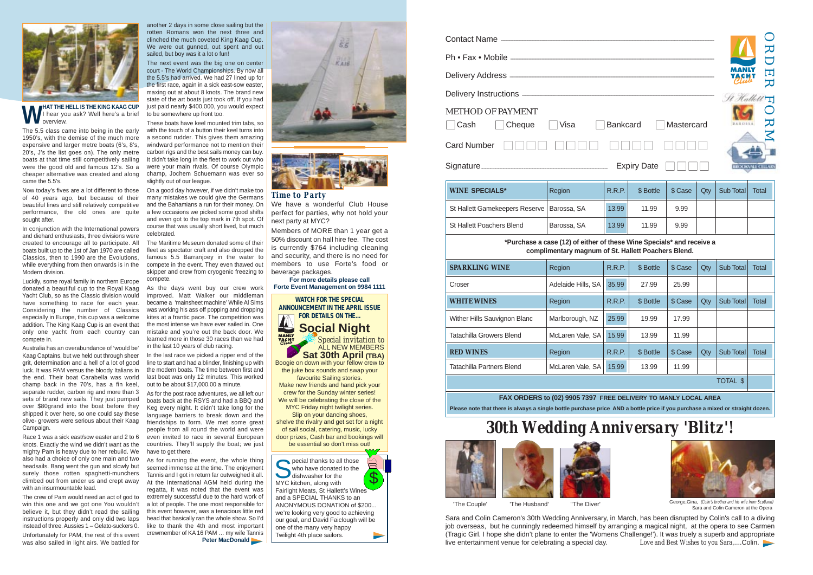|                                                                                                                 |                                                                                                                              | ᠽ<br><b>一</b><br>⋝ |                    |         |     |           |                          |  |  |  |  |
|-----------------------------------------------------------------------------------------------------------------|------------------------------------------------------------------------------------------------------------------------------|--------------------|--------------------|---------|-----|-----------|--------------------------|--|--|--|--|
|                                                                                                                 |                                                                                                                              | St Hallett         | أهرم               |         |     |           |                          |  |  |  |  |
| <b>METHOD OF PAYMENT</b><br>20<br>Visa<br>Cash<br>Cheque<br><b>Bankcard</b><br>Mastercard<br><b>Card Number</b> |                                                                                                                              |                    |                    |         |     |           |                          |  |  |  |  |
|                                                                                                                 |                                                                                                                              |                    | <b>Expiry Date</b> |         |     |           | <b>BROOKVALE CELLARS</b> |  |  |  |  |
| <b>WINE SPECIALS*</b>                                                                                           | Region                                                                                                                       | R.R.P.             | \$ Bottle          | \$ Case | Qty | Sub Total | <b>Total</b>             |  |  |  |  |
| St Hallett Gamekeepers Reserve                                                                                  | Barossa, SA                                                                                                                  | 13.99              | 11.99              | 9.99    |     |           |                          |  |  |  |  |
| <b>St Hallett Poachers Blend</b>                                                                                | Barossa, SA                                                                                                                  | 13.99              | 11.99              | 9.99    |     |           |                          |  |  |  |  |
|                                                                                                                 | *Purchase a case (12) of either of these Wine Specials* and receive a<br>complimentary magnum of St. Hallett Poachers Blend. |                    |                    |         |     |           |                          |  |  |  |  |
| <b>SPARKLING WINE</b>                                                                                           | Region                                                                                                                       | <b>R.R.P.</b>      | \$ Bottle          | \$ Case | Qty | Sub Total | <b>Total</b>             |  |  |  |  |
| Croser                                                                                                          | Adelaide Hills, SA                                                                                                           | 35.99              | 27.99              | 25.99   |     |           |                          |  |  |  |  |
| <b>WHITE WINES</b>                                                                                              | Region                                                                                                                       | R.R.P.             | \$ Bottle          | \$ Case | Qty | Sub Total | Total                    |  |  |  |  |

| <b>WINE SPECIALS*</b>                        | Region      | R.F |
|----------------------------------------------|-------------|-----|
| St Hallett Gamekeepers Reserve   Barossa, SA |             | 13. |
| <b>St Hallett Poachers Blend</b>             | Barossa, SA | 13  |

Race 1 was a sick east/sow easter and 2 to 6 knots. Exactly the wind we didn't want as the mighty Pam is heavy due to her rebuild. We also had a choice of only one main and two headsails. Bang went the gun and slowly but surely those rotten spaghetti-munchers climbed out from under us and crept away with an insurmountable lead.

| <b>SPARKLING WINE</b>        | Region             | <b>R.R.P.</b> | \$ Bottle | \$ Case | Qty | Sub Total | Total |
|------------------------------|--------------------|---------------|-----------|---------|-----|-----------|-------|
| Croser                       | Adelaide Hills, SA | 35.99         | 27.99     | 25.99   |     |           |       |
| <b>WHITE WINES</b>           | Region             | R.R.P.        | \$ Bottle | \$ Case | Qty | Sub Total | Total |
| Wither Hills Sauvignon Blanc | Marlborough, NZ    | 25.99         | 19.99     | 17.99   |     |           |       |
| Tatachilla Growers Blend     | McLaren Vale, SA   | 15.99         | 13.99     | 11.99   |     |           |       |
| <b>RED WINES</b>             | Region             | <b>R.R.P.</b> | \$ Bottle | \$ Case | Qty | Sub Total | Total |
| Tatachilla Partners Blend    | McLaren Vale, SA   | 15.99         | 13.99     | 11.99   |     |           |       |

#### **FAX ORDERS to (02) 9905 7397 FREE** Please note that there is always a single bottle purchase price AND a bottle price if you purchase a mi

|      | DELIVERY TO MANLY LOCAL AREA<br>.NID a battle woles if you would eas a missail as attained demon |         |     |           |       |  |  |  |  |  |  |
|------|--------------------------------------------------------------------------------------------------|---------|-----|-----------|-------|--|--|--|--|--|--|
|      | <b>TOTAL \$</b>                                                                                  |         |     |           |       |  |  |  |  |  |  |
| .99  | 13.99                                                                                            | 11.99   |     |           |       |  |  |  |  |  |  |
| R.P. | \$ Bottle                                                                                        | \$ Case | Qty | Sub Total | Total |  |  |  |  |  |  |
| .99  | 13.99                                                                                            | 11.99   |     |           |       |  |  |  |  |  |  |





The 5.5 class came into being in the early 1950's, with the demise of the much more expensive and larger metre boats (6's, 8's, 20's, J's the list goes on). The only metre boats at that time still competitively sailing were the good old and famous 12's. So a cheaper alternative was created and along came the 5.5's.

Now today's fives are a lot different to those of 40 years ago, but because of their beautiful lines and still relatively competitive performance, the old ones are quite sought after.

In conjunction with the International powers and diehard enthusiasts, three divisions were created to encourage all to participate. All boats built up to the 1st of Jan 1970 are called Classics, then to 1990 are the Evolutions, while everything from then onwards is in the Modern division.

Luckily, some royal family in northern Europe donated a beautiful cup to the Royal Kaag Yacht Club, so as the Classic division would have something to race for each year. Considering the number of Classics especially in Europe, this cup was a welcome addition. The King Kaag Cup is an event that only one yacht from each country can compete in.

> $\overline{\Box}$ who have donated to the dishwasher for the  $\mathcal{S}$ MYC kitchen, along with Fairlight Meats, St Hallett's Wines and a SPECIAL THANKS to an ANONYMOUS DONATION of \$200... we're looking very good to achieving our goal, and David Faiclough will be one of the many very happy Twilight 4th place sailors.



'The Couple' 'The Husband' "The Diver' George,Gina, (Colin's brother and his wife from Scotland Sara and Colin Cameron at the Opera

Australia has an overabundance of 'would be' Kaag Captains, but we held out through sheer grit, determination and a hell of a lot of good luck. It was PAM versus the bloody Italians in the end. Their boat Carabella was world champ back in the 70's, has a fin keel, separate rudder, carbon rig and more than 3 sets of brand new sails. They just pumped over \$80grand into the boat before they shipped it over here, so one could say these olive- growers were serious about their Kaag Campaign.

The crew of Pam would need an act of god to win this one and we got one You wouldn't believe it, but they didn't read the sailing instructions properly and only did two laps instead of three. Aussies 1 – Gelato-suckers 0.

Unfortunately for PAM, the rest of this event was also sailed in light airs. We battled for

another 2 days in some close sailing but the rotten Romans won the next three and clinched the much coveted King Kaag Cup. We were out gunned, out spent and out sailed, but boy was it a lot o fun!

The next event was the big one on center court - The World Championships. By now all the 5.5's had arrived. We had 27 lined up for the first race, again in a sick east-sow easter, maxing out at about 8 knots. The brand new state of the art boats just took off. If you had just paid nearly \$400,000, you would expect to be somewhere up front too.

These boats have keel mounted trim tabs, so with the touch of a button their keel turns into a second rudder. This gives them amazing windward performance not to mention their carbon rigs and the best sails money can buy. It didn't take long in the fleet to work out who were your main rivals. Of course Olympic champ, Jochem Schuemann was ever so slightly out of our league.

On a good day however, if we didn't make too many mistakes we could give the Germans and the Bahamians a run for their money. On a few occasions we picked some good shifts and even got to the top mark in 7th spot. Of course that was usually short lived, but much celebrated.

The Maritime Museum donated some of their fleet as spectator craft and also dropped the famous 5.5 Barranjoey in the water to compete in the event. They even thawed out skipper and crew from cryogenic freezing to compete.

As the days went buy our crew work improved. Matt Walker our middleman became a 'mainsheet machine' While Al Sims was working his ass off popping and dropping kites at a frantic pace. The competition was the most intense we have ever sailed in. One mistake and you're out the back door. We learned more in those 30 races than we had in the last 10 years of club racing.

In the last race we picked a ripper end of the line to start and had a blinder, finishing up with the modern boats. The time between first and last boat was only 12 minutes. This worked out to be about \$17,000.00 a minute.

As for the post race adventures, we all left our boats back at the RSYS and had a BBQ and Keg every night. It didn't take long for the language barriers to break down and the friendships to form. We met some great people from all round the world and were even invited to race in several European countries. They'll supply the boat; we just have to get there.

As for running the event, the whole thing seemed immense at the time. The enjoyment Tannis and I got in return far outweighed it all. At the International AGM held during the regatta, it was noted that the event was extremely successful due to the hard work of a lot of people. The one most responsible for this event however, was a tenacious little red head that basically ran the whole show. So I'd like to thank the 4th and most important crewmember of KA 16 PAM … my wife Tannis

**Peter MacDonald** 







# *30th Wedding Anniversary 'Blitz'!*





Sara and Colin Cameron's 30th Wedding Anniversary, in March, has been disrupted by Colin's call to a diving job overseas, but he cunningly redeemed himself by arranging a magical night, at the opera to see Carmen (Tragic Girl. I hope she didn't plane to enter the 'Womens Challenge!'). It was truely a superb and appropriate live entertainment venue for celebrating a special day. *Love and Best Wishes to you Sara*,....Colin.

#### *Time to Party*

We have a wonderful Club House perfect for parties, why not hold your next party at MYC?

Members of MORE than 1 year get a 50% discount on hall hire fee. The cost is currently \$764 including cleaning and security, and there is no need for members to use Forte's food or beverage packages.

#### **For more details please call Forte Event Management on 9984 1111**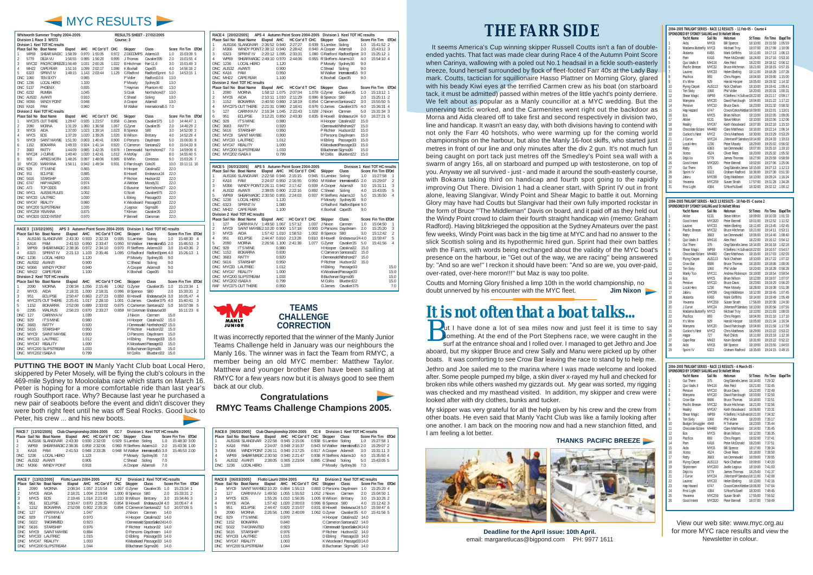## **THE FARR SIDE**

It seems America's Cup winning skipper Russell Coutts isn't a fan of doubleended yachts. That fact was made clear during Race 4 of the Autumn Point Score when Carinya, wallowing with a poled out No.1 headsail in a fickle south-easterly breeze, found herself surrounded by flock of fleet-footed Farr 40s at the Lady Bay mark. Coutts, tactician for squillionaire Hasso Plattner on Morning Glory, glared with his beady Kiwi eyes at the terrified Carmen crew as his boat (on starboard tack, it must be admitted) passed within metres of the little yacht's pointy derriere. We felt about as popular as a Manly councillor at a MYC wedding. But the unnerving tactic worked, and the Carmenites went right out the backdoor as Morna and Aida cleared off to take first and second respectively in division two, line and handicap. It wasn't an easy day, with both divisions having to contend with not only the Farr 40 hotshots, who were warming up for the coming world championships on the harbour, but also the Manly 16-foot skiffs, who started just metres in front of our line and only minutes after the div 2 gun. It's not much fun being caught on port tack just metres off the Smedley's Point sea wall with a swarm of angry 16s, all on starboard and pumped up with testosterone, on top of you. Anyway we all survived - just - and made it around the south-easterly course, with Bokarra taking third on handicap and fourth spot going to the rapidly improving Out There. Division 1 had a cleaner start, with Sprint IV out in front alone, leaving Slangivar, Windy Point and Shear Magic to battle it out. Morning Glory may have had Coutts but Slangivar had their own fully imported rockstar in the form of Bruce '''The Middleman'' Davis on board, and it paid off as they held out the Windy Point crowd to claim their fourth straight handicap win (memo: Graham Radford). Having blitzkrieged the opposition at the Sydney Amateurs over the past few weeks, Windy Point was back in the big time at MYC and had no answer to the slick Scottish soling and its hypothermic hired gun. Sprint had their own battles with the Farrs, with words being exchanged about the validity of the MYC boat's presence on the harbour, ie ''Get out of the way, we are racing'' being answered by: ''And so are we!'' I reckon it should have been: ''And so are we, you over-paid, over-rated, over-here moron!!!'' but Maz is way too polite.

Coutts and Morning Glory finished a limp 10th in the world championship, no doubt unnerved by his encounter with the MYC fleet. **Jim Nixon**

|                   | RACE 4 [20/02/2005] |                                |               |                |                                    |       |                           | APS 4 Autumn Point Score 2004-2005 Division 1 Keel TOT HC results |      |                                |                |
|-------------------|---------------------|--------------------------------|---------------|----------------|------------------------------------|-------|---------------------------|-------------------------------------------------------------------|------|--------------------------------|----------------|
|                   |                     | Place Sail No Boat Name        | Elapsd AHC    |                | HC Cor'd T CHC                     |       | Skipper                   | Class                                                             |      | Score Fin Tim ETOrd            |                |
| 1                 |                     | AUS166 SLANGIVAR               | 2:36:52 0.940 |                | 2:27:27                            |       | 0.939 S Lambie Soling     |                                                                   | 1.0  | 15:41:52 2                     |                |
| $\overline{2}$    | M366                | WINDY POINT 2:38:12 0.940      |               |                | 2:28:42                            |       | 0.940 A Cooper Adams8     |                                                                   | 2.0  | 15:43:12 3                     |                |
| 3                 | 6323                | <b>SPRINT IV</b>               | 2:20:12 1.095 |                | 2:33:31                            |       |                           | 1.080 G Radford RadfordSprint 3.0                                 |      | 15:25:12 1                     |                |
| 4                 | <b>WP69</b>         | SHEAR MAGIC 2:49:10 0.970      |               |                | 2:44:06                            |       | 0.955 R Steffens Adams10  |                                                                   | 4.0  | 15:54:10 4                     |                |
| <b>DNC</b>        | 1236                | LOCAL HERO                     |               | 1.120          |                                    |       | P Mosely Sydney36         |                                                                   | 9.0  |                                |                |
| <b>DNC</b>        | AUS32               | <b>AVANTI</b>                  |               | 0.900          |                                    |       | C Shead                   | Soling                                                            | 9.0  |                                |                |
| <b>DNC</b>        | <b>KA16</b>         | <b>PAM</b>                     |               | 0.950          |                                    |       |                           | M Walker International5.5                                         | 9.0  |                                |                |
| DNC               | MH <sub>22</sub>    | <b>CAPE FEAR</b>               |               | 1.100          |                                    |       | K Boxhall Cape35          |                                                                   | 9.0  |                                |                |
|                   |                     | Division 2 Keel TOT HC results |               |                |                                    |       |                           |                                                                   |      |                                |                |
|                   |                     | Place Sail No Boat Name        | Elapsd AHC    |                | HC Cor'd T CHC                     |       | Skipper                   | Class                                                             |      | Score Fin Tim ETOrd            |                |
| 1                 | 2090                | <b>MORNA</b>                   | 1:58:12 1.075 |                | 2:07:04                            |       | 1.078 G Zyner             | Cavalier35                                                        | 1.0  | 15:13:12 1                     |                |
| $\overline{2}$    | MYC6                | <b>AIDA</b>                    | 2:10:11 1.010 |                | 2:11:29                            |       | 0.996 B Spence S80        |                                                                   | 2.0  | 15:25:11 2                     |                |
| 3                 | 1152                | <b>BOKARRA</b>                 | 2:40:50 0.860 |                | 2:18:19                            |       | 0.854 C Cameron Santana22 |                                                                   | 3.0  | 15:55:50 5                     |                |
| 4                 |                     | MYC375 OUT THERE               | 2:21:31 0.980 |                | 2:18:41                            |       | 0.976 G James             | Cavalier 375                                                      | 4.0  | 15:36:31 4                     |                |
| 5                 | 127                 | CARINYA IV                     | 2:16:34 1.045 |                | 2:22:43                            |       | 1.028 J Nixon             | Carmen                                                            | 5.0  | 15:31:34 3                     |                |
| 6                 | 951                 | <b>ECLIPSE</b>                 | 3:12:21 0.850 |                | 2:43:30                            |       | 0.835 B Howell            | Endeavour24                                                       | 6.0  | 16:27:21 6                     |                |
| <b>DNC</b>        | 929                 | <b>IT'S MINE</b>               |               | 0.980          |                                    |       |                           | H Hooper Catalina32                                               | 15.0 |                                |                |
| <b>DNC</b>        | 3683                | <b>RATTY</b>                   |               | 0.920          |                                    |       |                           | I Dennewald Nthshore27                                            | 15.0 |                                |                |
| <b>DNC</b>        | 5616                | <b>STARSHIP</b>                |               | 0.950          |                                    |       |                           | P Richter Hudson32                                                | 15.0 |                                |                |
| <b>DNC</b>        | MYC9                | <b>SAINT MAYBE</b>             |               | 0.900          |                                    |       | D Parsons Daydream        |                                                                   | 15.0 |                                |                |
| <b>DNC</b>        |                     | MYC33 LAUTREC                  |               | 1.012          |                                    |       | H Ebling                  | Passage33                                                         | 15.0 |                                |                |
| <b>DNC</b>        |                     | MYC47 REALITY                  |               | 1.000          |                                    |       |                           | K WoodwardPassage33                                               | 15.0 |                                |                |
| <b>DNC</b>        |                     | MYC200 SLIPSTREAM              |               | 1.033          |                                    |       | B Buchanan Sigma36        |                                                                   | 15.0 |                                |                |
| <b>DNC</b>        | MYC202 ISAEA II     |                                |               | 0.799          |                                    |       | M Collis                  | Bluebird22                                                        | 15.0 |                                |                |
|                   |                     |                                |               |                |                                    |       |                           |                                                                   |      |                                |                |
|                   |                     |                                |               |                |                                    |       |                           |                                                                   |      |                                |                |
|                   |                     |                                |               |                |                                    |       |                           |                                                                   |      |                                |                |
|                   | RACE 5 [06/03/2005] |                                |               |                | APS 5 Autumn Point Score 2004-2005 |       |                           |                                                                   |      | Division 1 Keel TOT HC results |                |
|                   |                     | Place Sail No Boat Name        | Elapsd AHC    |                | HC Cor'd T CHC                     |       | Skipper                   | Class                                                             |      | Score Fin Tim ETOrd            |                |
| 1                 |                     | AUS166 SLANGIVAR               | 2:22:58 0.946 |                | 2:15:15                            | 0.945 | S Lambie                  | Soling                                                            | 1.0  | 15:27:58                       | 1              |
| $\overline{2}$    | <b>KA16</b>         | PAM                            | 2:24:07 0.950 |                | 2:16:55                            | 0.950 | M Walker                  | International <sub>5.5</sub> 2.0                                  |      | 15:29:07                       | $\overline{2}$ |
| 3                 | M366                | WINDY POINT 2:26:11 0.942      |               |                | 2:17:42                            | 0.939 | A Cooper                  | Adams8                                                            | 3.0  | 15:31:11                       | 3              |
| 4                 | AUS32               | <b>AVANTI</b>                  | 2:38:05 0.900 |                | 2:22:16                            | 0.892 | C Shead                   | Soling                                                            | 4.0  | 15:43:05                       | 5              |
| 5                 | <b>WP69</b>         | SHEAR MAGIC 2:30:50 0.955      |               |                | 2:24:03                            | 0.937 | R Steffens Adams10        |                                                                   | 5.0  | 15:35:50                       | 4              |
| <b>DNC</b>        | 1236                | LOCAL HERO                     |               | 1.120          |                                    |       | P Mosely                  | Sydney36                                                          | 9.0  |                                |                |
| <b>DNC</b>        | 6323                | <b>SPRINT IV</b>               |               | 1.080          |                                    |       |                           | G Radford RadfordSprint 9.0                                       |      |                                |                |
| <b>DNC</b>        | MH22                | <b>CAPE FEAR</b>               |               | 1.100          |                                    |       | K Boxhall                 | Cape35                                                            | 9.0  |                                |                |
|                   |                     | Division 2 Keel TOT HC results |               |                |                                    |       |                           |                                                                   |      |                                |                |
|                   |                     | Place Sail No Boat Name        | Elapsd AHC    |                | HC Cor'd T CHC                     |       | Skipper                   | Class                                                             |      | Score Fin Tim ETOrd            |                |
| 1                 | 127                 | CARINYA IV                     | 1:49:50 1.067 |                | 1:57:12                            | 1.037 | J Nixon                   | Carmen                                                            | 1.0  | 15:04:50                       | 1              |
| $\overline{2}$    | MYC9                | SAINT MAYBE 2:10:20 0.900      |               |                | 1:57:18                            | 0.900 |                           | D Parsons Daydream                                                | 2.0  | 15:25:20                       | 3              |
| 3                 | MYC6                | AIDA                           | 1:57:42 1.010 |                | 1:58:53                            | 1.002 | <b>B</b> Spence           | S80                                                               | 3.0  | 15:12:42                       | $\overline{c}$ |
| 4                 | 951                 | <b>ECLIPSE</b>                 | 2:44:47 0.810 |                | 2:13:28                            | 0.810 | <b>B</b> Howell           | Endeavour24 4.0                                                   |      | 15:59:47                       | 5              |
| 5                 | 2090                | <b>MORNA</b>                   | 2:26:56 1.100 |                | 2:41:38                            | 1.077 | G Zyner                   | Cavalier35                                                        | 5.0  | 15:41:56                       | 4              |
| <b>DNC</b>        | 929                 | <b>IT'S MINE</b>               |               | 0.980          |                                    |       |                           | H Hooper Catalina32                                               | 15.0 |                                |                |
| <b>DNC</b>        | 1152                | <b>BOKARRA</b>                 |               | 0.830          |                                    |       |                           | C Cameron Santana22                                               | 15.0 |                                |                |
| <b>DNC</b>        | 3683                | RATTY                          |               | 0.920          |                                    |       |                           | I Dennewald Nthshore27                                            | 15.0 |                                |                |
| <b>DNC</b>        | 5616                | <b>STARSHIP</b>                |               | 0.950          |                                    |       | P Richter                 | Hudson32                                                          | 15.0 |                                |                |
| <b>DNC</b>        |                     | MYC33 LAUTREC                  |               | 1.012          |                                    |       | H Ebling                  | Passage33                                                         |      |                                | 15.0           |
| <b>DNC</b>        |                     | MYC47 REALITY                  |               | 1.000          |                                    |       |                           | K Woodward Passage 33                                             |      |                                | 15.0           |
| <b>DNC</b>        |                     | MYC200 SLIPSTREAM              |               | 1.033          |                                    |       | B Buchanan Sigma36        |                                                                   |      |                                | 15.0           |
| <b>DNC</b><br>RAF | MYC202 ISAEA II     | MYC375 OUT THERE               |               | 0.799<br>0.950 |                                    |       | M Collis<br>G James       | Bluebird22<br>Cavalier 375                                        |      |                                | 15.0<br>7.0    |

|                                                                                                                                                                                                |                                                                                                                                                | Whitworth Summer Trophy 2004-2005<br>Division 1 Race 3 WST3                                                                                                                                                                                                                                                                                             |                                                                                                                      |                                                                                                                                                                                                  |                                                                                                                              | Course: 3                                                                              | <b>RESULTS SHEET - 27/02/2005</b>                                                                                                                                                                                                                                                                                          |                                                                                                                                                                                                                                                                           |                                                                                                                                                             |                                                                                                                                                                  |                                            |
|------------------------------------------------------------------------------------------------------------------------------------------------------------------------------------------------|------------------------------------------------------------------------------------------------------------------------------------------------|---------------------------------------------------------------------------------------------------------------------------------------------------------------------------------------------------------------------------------------------------------------------------------------------------------------------------------------------------------|----------------------------------------------------------------------------------------------------------------------|--------------------------------------------------------------------------------------------------------------------------------------------------------------------------------------------------|------------------------------------------------------------------------------------------------------------------------------|----------------------------------------------------------------------------------------|----------------------------------------------------------------------------------------------------------------------------------------------------------------------------------------------------------------------------------------------------------------------------------------------------------------------------|---------------------------------------------------------------------------------------------------------------------------------------------------------------------------------------------------------------------------------------------------------------------------|-------------------------------------------------------------------------------------------------------------------------------------------------------------|------------------------------------------------------------------------------------------------------------------------------------------------------------------|--------------------------------------------|
|                                                                                                                                                                                                |                                                                                                                                                | Division 1 Keel TOT HC results                                                                                                                                                                                                                                                                                                                          |                                                                                                                      |                                                                                                                                                                                                  |                                                                                                                              |                                                                                        |                                                                                                                                                                                                                                                                                                                            |                                                                                                                                                                                                                                                                           |                                                                                                                                                             |                                                                                                                                                                  |                                            |
| 1<br>$\overline{2}$<br>3<br>4<br>5<br>DNC.<br>DNC 1236<br>DNC 5137<br>DNC<br>DNC<br><b>DNC</b>                                                                                                 | <b>WP69</b><br>5779<br>MH22<br>6323<br>1060<br>6232<br>AUS32<br>M366<br>DNS KA16                                                               | Place Sail No Boat Name<br>SHEAR MAGIC<br>DEJA VU<br>MYC32 PACIFIC BREEZE 1:56:49<br>CAPE FEAR<br><b>SPRINT IV</b><br><b>TFN SIXTY</b><br>LOCAL HERO<br>PHOENIX<br><b>RUMBA</b><br>AVANTI<br>WINDY POINT<br>PAM                                                                                                                                         | Elapsd<br>1:58:39<br>1:56:55<br>1:51:16<br>1:48:15                                                                   | AHC<br>0.970<br>0.995<br>1.031<br>1.099<br>1.143<br>0.985<br>1.100<br>0.935<br>1.045<br>0.910<br>0.948<br>0.960                                                                                  | HC Cor'd T CHC<br>1:55:05<br>1:56:20<br>2:00:26<br>2:02:17<br>2:03:44                                                        | 0.972<br>0.995<br>1.022<br>1.086<br>1.129                                              | Skipper<br>Z DECOMPS<br>J Thomas<br><b>B</b> Hitchman<br>K Boxhall<br>G Radford<br>P Vidler<br>P Mosely<br>T Hayman<br>S Cook<br>C Shead<br>A Cooper<br>M Walker                                                                                                                                                           | Class<br>Adams10<br>Cavalier 395<br>Farr11.6<br>Cape35<br>RadfordSprint<br>Radford10.6<br>Sydney36<br>Phantom 40<br>Northshore37<br>Soling<br>Adams8<br>International5.5 7.0                                                                                              | 1.0<br>2.0<br>3.0<br>4.0<br>5.0<br>13.0<br>13.0<br>13.0<br>13.0<br>13.0<br>13.0                                                                             | Score Fin Tim ETOrd<br>15:03:39 5<br>15:01:55 4<br>15:01:49 3<br>14:56:16 2<br>14:53:15 1                                                                        |                                            |
|                                                                                                                                                                                                |                                                                                                                                                | Division 2 Keel TOT HC results                                                                                                                                                                                                                                                                                                                          |                                                                                                                      |                                                                                                                                                                                                  |                                                                                                                              |                                                                                        |                                                                                                                                                                                                                                                                                                                            |                                                                                                                                                                                                                                                                           |                                                                                                                                                             |                                                                                                                                                                  |                                            |
| 1<br>$\overline{c}$<br>3<br>4<br>5<br>6<br>7<br>8<br>9<br>10<br>DNC<br><b>DNC</b><br><b>DNC</b><br><b>DNC</b><br>DNC A73<br><b>DNC</b><br><b>DNC</b><br><b>DNC</b><br><b>DNC</b><br><b>DNC</b> | 2090<br>MYC6<br>MYC5<br>MYC9<br>1152<br>3683<br>MYC24<br>903<br>929<br>951<br>5616<br>6747<br>MYC1<br>MYC33<br>MYC47 REALITY<br>MYC259 YEVANNA | Place Sail No Boat Name<br>MYC375 OUT THERE<br><b>MORNA</b><br>AIDA<br><b>EOS</b><br>SAINT MAYBE<br><b>BOKARRA</b><br><b>RATTY</b><br>J-CURVE<br>APRES MOTH<br>MYC20 MANYANA<br><b>IT'S MINE</b><br><b>ECLIPSE</b><br><b>STARSHIP</b><br>HAP HAZARD<br><b>TOP ODDS</b><br><b>AUSSIE RULES</b><br>LAUTREC<br>MYC200 SLIPSTREAM<br>DNC MYC820 GOOD INTENT | Elapsd<br>1:29:47<br>1:31:29<br>1:37:00<br>1:37:29<br>1:51:30<br>1:49:33<br>1:44:09<br>1:40:40<br>1:48:26<br>1:56:11 | AHC<br>0.935<br>1.060<br>1.023<br>1.020<br>0.903<br>0.924<br>0.985<br>1.020<br>0.997<br>0.943<br>0.865<br>0.885<br>1.030<br>0.974<br>0.953<br>1.002<br>1.030<br>0.980<br>1.035<br>0.875<br>0.970 | HC Cor'd T CHC<br>1:23:57<br>1:36:58<br>1:39:14<br>1:39:26<br>1:40:41<br>1:41:14<br>1:42:35<br>1:42:41<br>1:48:06<br>1:49:34 | 0.958<br>1.067<br>1.023<br>1.020<br>0.900<br>0.920<br>0.978<br>1.012<br>0.985<br>0.931 | Skipper<br>G James<br>G Zyner<br><b>B</b> Spence<br><b>B</b> Wilson<br>D Parsons<br>C Cameron<br>I Dennewald<br>A McKay<br><b>B</b> Miflin<br>D Fairclough Cole26<br>H Hooper<br><b>B</b> Howell<br>P Richter<br>A Webber<br>D Busvine<br>G Scott<br>L Ebling<br>K Woodward Passage33<br>J Legoux<br>T Kliman<br>P Bennell | Class<br>Cavalier375<br>Cavalier35<br>S80<br><b>Brittany</b><br>Daydream<br>Santana <sub>22</sub><br>Northshore27<br>J24<br>Contessa<br>Catalina32<br>Endeavour24<br>Hudson32<br>Moody31<br>Northshore27<br>Cavalier975<br>Passage33<br>Sigma36<br>Cavalier26<br>Clansman | 1.0<br>2.0<br>3.0<br>4.0<br>5.0<br>6.0<br>7.0<br>8.0<br>9.0<br>10.0<br>22.0<br>22.0<br>22.0<br>22.0<br>22.0<br>22.0<br>22.0<br>22.0<br>22.0<br>22.0<br>22.0 | Score Fin Tim ETOrd<br>14:44:47 1<br>14:46:29 2<br>14:52:00 3<br>14:52:29 4<br>15:06:30 9<br>15:04:33 8<br>14:59:09 6<br>14:55:40 5<br>15:03:26 7<br>15:11:11 10 |                                            |
|                                                                                                                                                                                                |                                                                                                                                                |                                                                                                                                                                                                                                                                                                                                                         |                                                                                                                      |                                                                                                                                                                                                  |                                                                                                                              |                                                                                        |                                                                                                                                                                                                                                                                                                                            |                                                                                                                                                                                                                                                                           |                                                                                                                                                             |                                                                                                                                                                  |                                            |
| 1<br>$\overline{a}$<br>3<br>$\overline{4}$<br><b>DNC</b><br><b>DNC</b><br><b>DNC</b>                                                                                                           | RACE 3 [13/02/2005]<br>KA16<br><b>WP69</b><br>6323<br>1236<br>AUS32<br>M366<br>DNC MH22                                                        | Place Sail No Boat Name<br>AUS166 SLANGIVAR<br><b>PAM</b><br>SHEAR MAGIC 2:38:36<br><b>SPRINT IV</b><br>LOCAL HERO<br>AVANTI<br>WINDY POINT<br><b>CAPE FEAR</b><br>Division 2 Keel TOT HC results                                                                                                                                                       | Elapsd<br>2:43:30<br>2:41:53<br>2:21:13                                                                              | <b>AHC</b><br>0.933<br>0.950<br>0.972<br>1.103<br>1.120<br>0.900<br>0.940<br>1.100                                                                                                               | APS 3 Autumn Point Score 2004-2005<br>HC Cor'd T CHC<br>2:32:33<br>2:33:47<br>2:34:10<br>2:35:46                             | 0.935<br>0.950<br>0.970<br>1.095                                                       | Skipper<br>S Lambie<br>M Walker<br>R Steffens Adams10<br>G Radford<br>P Mosely<br>C Shead<br>A Cooper<br>K Boxhall                                                                                                                                                                                                         | Division 1 Keel TOT HC results<br>Class<br>Soling<br>International5.5 2.0<br>RadfordSprint 4.0<br>Sydney36<br>Soling<br>Adams8<br>Cape35                                                                                                                                  | 1.0<br>3.0<br>9.0<br>9.0<br>9.0<br>9.0                                                                                                                      | Score Fin Tim ETOrd<br>15:48:30<br>15:46:53<br>15:43:36<br>15:26:13                                                                                              | $\overline{A}$<br>3<br>$\overline{2}$<br>1 |
|                                                                                                                                                                                                |                                                                                                                                                | Place Sail No Boat Name                                                                                                                                                                                                                                                                                                                                 | Elapsd                                                                                                               | AHC                                                                                                                                                                                              | HC Cor'd T CHC                                                                                                               |                                                                                        | <b>Skipper</b>                                                                                                                                                                                                                                                                                                             | Class                                                                                                                                                                                                                                                                     |                                                                                                                                                             | Score Fin Tim ETOrd                                                                                                                                              |                                            |
| 1<br>$\overline{2}$<br>3<br>4<br>5<br>6<br><b>DNC</b><br><b>DNC</b><br><b>DNC</b><br><b>DNC</b><br><b>DNC</b><br><b>DNC</b><br><b>DNC</b><br><b>DNC</b><br>DNC                                 | 2090<br>MYC6<br>951<br>1152<br>2295<br>127<br>929<br>3683<br>5616<br>MYC9<br>MYC47                                                             | <b>MORNA</b><br>AIDA<br><b>ECLIPSE</b><br>MYC375 OUT THERE<br><b>BOKARRA</b><br>WALRUS<br>CARINYA IV<br><b>IT'S MINE</b><br><b>RATTY</b><br><b>STARSHIP</b><br><b>SAINT MAYBE</b><br>MYC33 LAUTREC<br>REALITY<br>MYC200 SLIPSTREAM<br>MYC202 ISAEA II                                                                                                   | 2:08:34<br>2:18:31<br>2:50:47<br>2:25:41<br>2:52:08<br>2:56:23                                                       | 1.056<br>1.000<br>0.863<br>1.017<br>0.889<br>0.870<br>1.039<br>0.980<br>0.920<br>0.950<br>0.900<br>1.012<br>1.000<br>1.033<br>0.799                                                              | 2:15:46<br>2:18:31<br>2:27:23<br>2:28:10<br>2:33:02<br>2:33:27                                                               | 1.062<br>0.996<br>0.850<br>1.001<br>0.875<br>0.859                                     | G Zyner<br><b>B</b> Spence<br><b>B</b> Howell<br>G James<br>J Nixon<br>H Hooper<br>P Richter<br>H Ebling<br>K Woodward Passage33<br>B Buchanan Sigma36<br>M Collis                                                                                                                                                         | Cavalier35<br>S80<br>Endeavour24 3.0<br>Cavalier 375 4.0<br>C Cameron Santana22<br>M Coleman Endeavour30<br>Carmen<br>Catalina32<br>I Dennewald Northshore27 15.0<br>Hudson32<br>D Parsons Daydream<br>Passage33<br>Bluebird22                                            | 1.0<br>2.0<br>5.0<br>15.0<br>15.0<br>15.0<br>15.0<br>15.0<br>15.0<br>15.0<br>15.0                                                                           | 15:23:34<br>15:33:31<br>16:05:47<br>15:40:41<br>16:07:08<br>16:11:23                                                                                             | 1<br>$\overline{2}$<br>4<br>3<br>5<br>6    |

#### **2004-2005 TWILIGHT SERIES - RACE 15 RESULTS - 4 March-05 - ORED BY SYDNEY SAILING and St Hall**

**TEAMS CHALLENGE MANLY CORRECTION** JUNIOR

**PUTTING THE BOOT IN** Manly Yacht Club boat Local Hero, skippered by Peter Mosely, will be flying the club's colours in the 469-mile Sydney to Mooloolaba race which starts on March 16. Peter is hoping for a more comfortable ride than last year's rough Southport race. Why? Because last year he purchased a new pair of seaboots before the event and didn't discover they were both right feet until he was off Seal Rocks. Good luck to Peter, his crew ... and his new boots.

 $\Box$  ut I have done a lot of sea miles now and just feel it is time to say Something. At the end of the Port Stephens race, we were caught in the surf at the entrance shoal and I rolled over. I managed to get Jethro and Joe aboard, but my skipper Bruce and crew Sally and Manu were picked up by other boats. It was comforting to see Crow Bar leaving the race to stand by to help me.

|                |              | RACE 7 [13/02/2005] Club Championship 2004-2005 |                       |       |                           |     |                    | CC 7 Division 1 Keel TOT HC results |      |                     |  |
|----------------|--------------|-------------------------------------------------|-----------------------|-------|---------------------------|-----|--------------------|-------------------------------------|------|---------------------|--|
|                |              | Place Sail No Boat Name                         |                       |       | Elapsd AHC HC Cor'd T CHC |     | Skipper            | Class                               |      | Score Fin Tim ETOrd |  |
|                |              | AUS166 SLANGIVAR 2:43:30 0.930 2:32:03          |                       |       |                           |     |                    | 0.929 S Lambie Soling               | 1.0  | 15:48:30 3.00       |  |
| $\mathfrak{p}$ | <b>WP69</b>  | SHEAR MAGIC 2:38:36 0.959 2:32:06               |                       |       |                           |     |                    | 0.960 R Steffens Adams10            | 2.0  | 15:43:36 1.00       |  |
| 3              | KA16         | PAM                                             | 2:41:53 0.948 2:33:28 |       |                           |     |                    | 0.948 M Walker International5.5 3.0 |      | 15:46:53 2.00       |  |
| <b>DNC</b>     | 1236         | LOCAL HERO                                      |                       | 1.123 |                           |     |                    | P Mosely Sydney36                   | 7.0  |                     |  |
| <b>DNC</b>     | AUS32 AVANTI |                                                 |                       | 0.905 |                           |     | C Shead            | Soling                              | 7.0  |                     |  |
| <b>DNC</b>     | M366         | WINDY POINT                                     |                       | 0.918 |                           |     | A Cooper           | Adams8                              | 7.0  |                     |  |
|                |              |                                                 |                       |       |                           |     |                    |                                     |      |                     |  |
|                |              | RACE 7 [13/02/2005]                             |                       |       | Flotto Lauro 2004-2005    | FL7 |                    | Division 2 Keel TOT HC results      |      |                     |  |
|                |              | Place Sail No Boat Name                         |                       |       | Elapsd AHC HC Cor'd T CHC |     | Skipper            | Class                               |      | Score Fin Tim ETOrd |  |
| 1              | 2090         | <b>MORNA</b>                                    | 2:08:34               |       | 1.057 2:15:54             |     |                    | 1.067 G Zyner Cavalier 35 1.0       |      | 15:23:34 1          |  |
| 2              | MYC6         | AIDA                                            |                       |       | 2:18:31 1.004 2:19:04     |     | 1.000 B Spence S80 |                                     | 2.0  | 15:33:31 2          |  |
| 3              | MYC5         | EOS.                                            | 2:19:46               |       | 1.014 2:21:43             |     | 1.010 B Wilson     | Brittany                            | 3.0  | 15:34:46 3          |  |
| $\overline{4}$ | 951          | ECLIPSE                                         | 2:50:47               |       | 0.870 2:28:35             |     | 0.854 B Howell     | Endeavour24 4.0                     |      | 16:05:47 4          |  |
| 5              | 1152         | BOKARRA                                         | 2:52:08               |       | 0.902 2:35:16             |     |                    | 0.894 C Cameron Santana22 5.0       |      | 16:07:08 5          |  |
| <b>DNC</b>     | 127          | CARINYA IV                                      |                       | 1.047 |                           |     | J Nixon            | Carmen                              | 14.0 |                     |  |
| <b>DNC</b>     | 929          | <b>IT'S MINE</b>                                |                       | 0.970 |                           |     |                    | H Hooper Catalina32 14.0            |      |                     |  |
| <b>DNC</b>     | 5022         | T/4/GRANTED                                     |                       | 0.923 |                           |     |                    | I Dennewald SpaceSailer2414.0       |      |                     |  |
| <b>DNC</b>     | 5616         | <b>STARSHIP</b>                                 |                       | 0.976 |                           |     |                    | P Richter Hudson32 14.0             |      |                     |  |
| <b>DNC</b>     | MYC9         | <b>SAINT MAYBE</b>                              |                       | 0.884 |                           |     |                    | D Parsons Daydream                  | 14.0 |                     |  |
| <b>DNC</b>     | MYC33        | LAUTREC                                         |                       | 1.015 |                           |     |                    | D Ebling Passage 33 14.0            |      |                     |  |
| <b>DNC</b>     |              | MYC47 REALITY                                   |                       | 1.003 |                           |     |                    | KWoodward Passage33 14.0            |      |                     |  |
| <b>DNC</b>     |              | MYC200 SLIPSTREAM                               |                       | 1.044 |                           |     |                    | B Buchanan Sigma36                  | 14.0 |                     |  |



| RACE 8 [06/03/2005] Club Championship 2004-2005<br>Division 1 Keel TOT HC results<br>CC <sub>8</sub> |                     |                         |                               |       |                    |            |                          |                                  |      |                     |              |
|------------------------------------------------------------------------------------------------------|---------------------|-------------------------|-------------------------------|-------|--------------------|------------|--------------------------|----------------------------------|------|---------------------|--------------|
|                                                                                                      |                     | Place Sail No Boat Name | Elapsd                        |       | AHC HC Cor'd T CHC |            | Skipper                  | Class                            |      | Score Fin Tim ETOrd |              |
| 1                                                                                                    |                     | AUS166 SLANGIVAR        | 2:22:58                       |       | 0.945 2:15:06      |            | 0.938 S Lambie           | Soling                           | 1.0  | 15:27:58 1          |              |
| $\overline{2}$                                                                                       | KA16                | PAM                     | 2:24:07                       |       | 0.948 2:16:37      |            | 0.943 M Walker           | International <sub>5.5</sub> 2.0 |      | 15:29:07 2          |              |
| 3                                                                                                    | M366                | WINDY POINT 2:26:11     |                               |       | 0.940 2:17:25      |            | 0.917 A Cooper           | Adams8                           | 3.0  | 15:31:11 3          |              |
| 4                                                                                                    | <b>WP69</b>         | SHEAR MAGIC 2:30:50     |                               |       | 0.940 2:21:47      |            | 0.938 R Steffens Adams10 |                                  | 4.0  | 15:35:50 4          |              |
| 5                                                                                                    | AUS32               | <b>AVANTI</b>           | 2:38:05                       |       | 0.905 2:23:04      |            | 0.895 C Shead            | Soling                           | 5.0  | 15:43:05 5          |              |
| DNC.                                                                                                 | 1236                | <b>LOCAL HERO</b>       |                               | 1.100 |                    |            | P Mosely                 | Sydney36                         | 7.0  |                     |              |
|                                                                                                      |                     |                         |                               |       |                    |            |                          |                                  |      |                     |              |
|                                                                                                      | RACE 8 [06/03/2005] |                         | <b>Flotto Lauro 2004-2005</b> |       |                    | FL8        |                          | Division 2 Keel TOT HC results   |      |                     |              |
|                                                                                                      | Place Sail No       | <b>Boat Name</b>        | Elapsd                        | AHC   | HC Cor'd T         | <b>CHC</b> | Skipper                  | Class                            |      | Score Fin Tim       | <b>ETOrd</b> |
| 1                                                                                                    | MYC9                | SAINT MAYBE2:10:20      |                               |       | 0.884 1:55:13      |            |                          | 0.883 D Parsons Daydream         | 1.0  | 15:25:20 4          |              |
| $\overline{2}$                                                                                       | 127                 | CARINYA IV              | 1:49:50                       |       | 1.055 1:55:52      |            | 1.052 J Nixon            | Carmen                           | 2.0  | 15:04:50 1          |              |
| 3                                                                                                    | MYC5                | <b>EOS</b>              | 1:55:26                       |       | 1.010 1:56:35      |            | 1.005 B Wilson           | Brittany                         | 3.0  | 15:10:26 2          |              |
| 4                                                                                                    | MYC6                | <b>AIDA</b>             | 1:57:42                       |       | 1.020 2:00:03      |            | 0.996 B Spence           | S80                              | 4.0  | 15:12:42 3          |              |
| 5                                                                                                    | 951                 | <b>ECLIPSE</b>          | 2:44:47                       |       | 0.8202:15:07       |            | 0.831 B Howell           | Endeavour24 5.0                  |      | 15:59:47 6          |              |
| 6                                                                                                    | 2090                | <b>MORNA</b>            | 2:26:56                       |       | 1.090 2:40:09      |            | 1.062 G Zyner            | Cavalier35 6.0                   |      | 15:41:56 5          |              |
| <b>DNC</b>                                                                                           | 929                 | <b>IT'S MINE</b>        |                               | 0.970 |                    |            | H Hooper                 | Catalina32                       | 14.0 |                     |              |
| <b>DNC</b>                                                                                           | 1152                | <b>BOKARRA</b>          |                               | 0.840 |                    |            |                          | C Cameron Santana22 14.0         |      |                     |              |
| <b>DNC</b>                                                                                           | 5022                | T/4/GRANTFD             |                               | 0.923 |                    |            |                          | I Dennewald SpaceSailer2414.0    |      |                     |              |
| <b>DNC</b>                                                                                           | 5616                | <b>STARSHIP</b>         |                               | 0.976 |                    |            |                          | P Richter Hudson 32 14.0         |      |                     |              |
| <b>DNC</b>                                                                                           | MYC33               | LAUTREC                 |                               | 1.015 |                    |            | D Ebling                 | Passage33 14.0                   |      |                     |              |
| <b>DNC</b>                                                                                           | MYC47               | <b>REALITY</b>          |                               | 1.003 |                    |            |                          | K Woodward Passage3314.0         |      |                     |              |
| <b>DNC</b>                                                                                           |                     | MYC200 SLIPSTREAM       |                               | 1.044 |                    |            |                          | B Buchanan Sigma36 14.0          |      |                     |              |

|    | <b>Yacht Name</b>      | Sail No | Helsman                         | <b>St Times</b> | Fin Time | <b>Elapd Tim</b> |
|----|------------------------|---------|---------------------------------|-----------------|----------|------------------|
|    | Out There              | 375     | Greg/Gabrielle James 18:14:00   |                 | 7:29:32  |                  |
| 2  | Quo Vadis II           | MH116   | Alex Reid                       | 18:21:00        | 7:32:45  |                  |
| 3  | <b>Pensive</b>         | MYC10   | <b>Bruce Davis</b>              | 18:22:00        | 7:32:49  |                  |
| 4  | Manyana                | MYC20   | David Fairclough                | 18:03:00        | 7:32:50  |                  |
| 5  | Crow Bar               | 8686    | Bruce Thomas                    | 18:18:00        | 7:32:51  |                  |
| 6  | Pacific Breeze         | MYC32   | Bruce Hitchman                  | 18:21:00        | 7:32:56  |                  |
| 7  | Reality                | MYC47   | Keith Woodward                  | 18:06:00        | 7:33:31  |                  |
| 8  | Shear Magic            | WP69    | R.Steffens / H.Sullivan18:21:00 |                 | 7:34:32  |                  |
| 9  | Ten Sixty              | 1060    | Phil Vidler                     | 18:20:00        | 7:35:17  |                  |
| 10 | Budgie Smuggler 4948   |         | R Treharne                      | 18:23:00        | 7:35:44  |                  |
| 11 | Chocolate Eclare MH480 |         | Clare Matthews                  | 18:14:00        | 7:35:45  |                  |
| 12 | Fos                    | MYC5    | Brian Wilson                    | 18:12:00        | 7:36:35  |                  |
| 13 | Pacifica               | 893     | Chris Rogers                    | 18:02:00        | 7:37:41  |                  |
| 14 | Pam                    | KA16    | Peter McDonald                  | 18:23:00        | 7:37:51  |                  |
| 15 | Aida                   | MYC6    | <b>Bill Spence</b>              | 18:17:00        | 7:38:34  |                  |
| 16 | <b>Xcess</b>           | 4524    | Oliver Rees                     | 18:18:00        | 7:38:50  |                  |
| 17 | Ratty                  | 3683    | Ian Dennewald                   | 18:09:00        | 7:39:05  |                  |
| 18 | Flying Carpet          | AUS113  | Nick Chatham                    | 18:09:00        | 7:40:20  |                  |
| 19 | Slipstream             | MYC200  | Joelle Legoux                   | 18:19:00        | 7:41:03  |                  |
| 20 | Déjà Vu                | 5779    | James Thomas                    | 18:25:00        | 7:41:37  |                  |
| 21 | J Curve                | MYC24   | J.Morrison/P.Sainsbury18:11:00  |                 | 7:42:08  |                  |
| 22 | I autrec.              | MYC33   | Helen Ebeling                   | 18:13:00        | 7:42:16  |                  |
| 23 | Hap Hazard             | 6747    | Croxon/Cotton/Webber 18:06:00   |                 | 7:47:04  |                  |
| 24 | First Light            | 4384    | S.Rice/N.Ewell                  | 18:30:00        | 7:48:45  |                  |
| 25 | Yevanna                | MYC259  | Susan Strath                    | 17:55:00        | 7:56:52  |                  |
| 26 | Good Intent            | MYC820  | Peter Bennell                   | 18:07:00        | 7:59:49  |                  |

#### **2004-2005 TWILIGHT SERIES - RACE 13 RESULTS - 18 Feb-05 -C ourse 2 SPONSORED BY SYDNEY SAILING and St Hallett Wines**

|    | <b>Yacht Name</b>     | Sail No          | Helsman                         | <b>St Times</b> | <b>Fin Time</b> | <b>Elapd Tim</b> |
|----|-----------------------|------------------|---------------------------------|-----------------|-----------------|------------------|
|    | Attiler               | 6131             | Steve Witton                    | 18:09:00        | 19:10:33        | 1:01:33          |
| 2  | Good Intent           | MYC820           | Peter Bennell                   | 18:01:00        | 19:12:52        | 1:11:52          |
| 3  | I autrec              | MYC33            | Helen Ebeling                   | 18:11:00        | 19:13:45        | 1:02:45          |
| 4  | Pacific Breeze        | MYC32            | Bruce Hitchman                  | 18:21:00        | 19:14:11        | 0:53:11          |
| 5  | Ratty                 | 3683             | Ian Dennewald                   | 18:06:00        | 19:14:40        | 1:08:40          |
| 6  | Ouo Vadis II          | MH116            | Alex Reid                       | 18:22:00        | 19:16:12        | 0:54:12          |
| 7  | Out There             | 375              | Greg/Gabrielle James 18:14:00   |                 | 19:16:18        | 1:02:18          |
| 8  | Shear Magic           | WP69             | R.Steffens / H.Sullivan18:22:00 |                 | 19:16:57        | 0:54:57          |
| 9  | Chocolate Eclare      | MH480            | Clare Matthews                  | 18:15:00        | 19:17:03        | 1:02:03          |
| 10 | <b>Flying Carpet</b>  | <b>AUS113</b>    | Nick Chatham                    | 18:10:00        | 19:17:22        | 1:07:22          |
| 11 | Crow Bar              | 8686             | <b>Bruce Thomas</b>             | 18:18:00        | 19:18:06        | 1:00:06          |
| 12 | <b>Ten Sixty</b>      | 1060             | Phil Vidler                     | 18:20:00        | 19:18:28        | 0:58:28          |
| 13 | Manly Too             | MYC11            | Andrew Robinson                 | 18:19:00        | 19:18:54        | 0:59:54          |
| 14 | Fos                   | MYC5             | <b>Brian Wilson</b>             | 18:12:00        | 19:19:07        | 1:07:07          |
| 15 | <b>Pensive</b>        | MYC10            | <b>Bruce Davis</b>              | 18:23:00        | 19:19:20        | 0:56:20          |
| 16 | Local Hero            | 1236             | Peter Mosely                    | 18:28:00        | 19:19:38        | 0:51:38          |
| 17 | Jabiru                | MYC99            | Greg Middleton                  | 18:12:00        | 19:19:45        | 1:07:45          |
| 18 | Atalanta              | <b>KA55</b>      | Mark Griffiths                  | 18:14:00        | 19:19:49        | 1:05:49          |
| 19 | Yevanna               | MYC259           | Susan Strath                    | 17:56:00        | 19:20:30        | 1:24:30          |
| 20 | J Curve               | MYC24            | J.Morrison/P.Sainsbury          | 18:13:00        | 19:20:56        | 1:07:56          |
| 21 | Madama Butterfly MYC3 |                  | Michael Troy                    | 18:13:00        | 19:21:03        | 1:08:03          |
| 22 | Pacifica              | 893              | Chris Rogers                    | 18:04:00        | 19:21:10        | 1:17:10          |
| 23 | It's Mine             | 929              | Harold Hooper                   | 18:05:00        | 19:21:34        | 1:16:34          |
| 24 | Manyana               | MYC20            | David Fairclough                | 18:04:00        | 19:21:58        | 1:17:58          |
| 25 | Cuckoo's Nest         | MYC <sub>2</sub> | <b>Chris Matthews</b>           | 18:29:00        | 19:22:22        | 0:53:22          |
| 26 | Hagar                 | 727              | Rod Childs                      | 18:11:00        | 19:23:18        | 1:12:18          |
| 27 | Cape Fear             | MH22             | Kevin Boxhall                   | 18:31:00        | 19:23:22        | 0:52:22          |
| 28 | Aida                  | MYC6             | <b>Bill Spence</b>              | 18:19:00        | 19:23:55        | 1:04:55          |
| 29 | Sprint IV             | 6323             | Graham Radford                  | 18:35:00        | 19:24:15        | 0:49:15          |

| 2004-2005 TWILIGHT SERIES - RACE 12 RESULTS - 11 Feb-05 - Course 4 |                                                                              |               |                                 |                 |                 |                  |  |
|--------------------------------------------------------------------|------------------------------------------------------------------------------|---------------|---------------------------------|-----------------|-----------------|------------------|--|
|                                                                    | <b>SPONSORED BY SYDNEY SAILING and St Hallett Wines</b><br><b>Yacht Name</b> | Sail No       | Helsman                         | <b>St Times</b> | <b>Fin Time</b> | <b>Elapd Tim</b> |  |
| 1                                                                  | Aida                                                                         | MYC6          | <b>Bill Spence</b>              | 18:10:00        | 19:15:59        | 1:05:59          |  |
| 2                                                                  | Madama Butterfly MYC3                                                        |               | Michael Troy                    | 18:07:00        | 19:17:08        | 1:10:08          |  |
| 3                                                                  | Atalanta                                                                     | KA55          | Mark Griffiths                  | 18:11:00        | 19:17:13        | 1:06:13          |  |
| 4                                                                  | Pam                                                                          | KA16          | Peter McDonald                  | 18:24:00        | 19:17:16        | 0:53:16          |  |
| 5                                                                  | Ouo Vadis II                                                                 | MH116         | Alex Reid                       | 18:22:00        | 19:18:12        | 0:56:12          |  |
| 6                                                                  | Pacific Breeze                                                               | MYC32         | <b>Bruce Hitchman</b>           | 18:21:00        | 19:18:15        | 0:57:15          |  |
| 7                                                                  | I autrec                                                                     | MYC33         | Helen Ebeling                   | 18:11:00        | 19:18:28        | 1:07:28          |  |
| 8                                                                  | Pacifica                                                                     | 893           | Chris Rogers                    | 18:04:00        | 19:19:00        | 1:15:00          |  |
| 9                                                                  | It's Mine                                                                    | 929           | Harold Hooper                   | 18:05:00        | 19:19:32        | 1:14:32          |  |
| 10                                                                 | <b>Flying Carpet</b>                                                         | <b>AUS113</b> | Nick Chatham                    | 18:10:00        | 19:19:41        | 1:09:41          |  |
| 11                                                                 | <b>Ten Sixty</b>                                                             | 1060          | Phil Vidler                     | 18:20:00        | 19:20:31        | 1:00:31          |  |
| 12                                                                 | Shear Magic                                                                  | WP69          | R.Steffens / H.Sullivan18:22:00 |                 | 19:21:17        | 0:59:17          |  |
| 13                                                                 | Manyana                                                                      | MYC20         | David Fairclough                | 18:04:00        | 19:21:22        | 1:17:22          |  |
| 14                                                                 | <b>Pensive</b>                                                               | MYC10         | <b>Bruce Davis</b>              | 18:23:00        | 19:21:32        | 0:58:32          |  |
| 15                                                                 | Hap Hazard                                                                   | 6747          | Croxon/Cotton/Webber 18:09:00   |                 | 19:22:01        | 1:13:01          |  |
| 16                                                                 | Fos                                                                          | MYC5          | <b>Brian Wilson</b>             | 18:13:00        | 19:22:05        | 1:09:05          |  |
| 17                                                                 | Attiler                                                                      | 6131          | Steve Witton                    | 18:10:00        | 19:22:06        | 1:12:06          |  |
| 18                                                                 | Reality                                                                      | MYC47         | Keith Woodward                  | 18:07:00        | 19:22:10        | 1:15:10          |  |
| 19                                                                 | Chocolate Eclare                                                             | MH480         | Clare Matthews                  | 18:16:00        | 19:22:14        | 1:06:14          |  |
| 20                                                                 | Cuckoo's Nest                                                                | MYC2          | Chris Matthews                  | 18:30:00        | 19:23:29        | 0:53:29          |  |
| 21                                                                 | J Curve                                                                      | MYC24         | J.Morrison/P.Sainsbury18:14:00  |                 | 19:24:33        | 1:10:33          |  |
| 22                                                                 | Local Hero                                                                   | 1236          | Peter Mosely                    | 18:29:00        | 19:25:02        | 0:56:02          |  |
| 23                                                                 | Ratty                                                                        | 6383          | Ian Dennewald                   | 18:07:00        | 19:25:10        | 1:18:10          |  |
| 24                                                                 | <b>Xcess</b>                                                                 | 4524          | <b>Oliver Rees</b>              | 18:20:00        | 19:25:32        | 1:05:32          |  |
| 25                                                                 | Déjà Vu                                                                      | 5779          | James Thomas                    | 18:27:00        | 19:25:59        | 0:58:59          |  |
| 26                                                                 | Good Intent                                                                  | MYC820        | Peter Bennell                   | 18:02:00        | 19:27:06        | 1:25:06          |  |
| 27                                                                 | Out There                                                                    | 375           | Greg/Gabrielle James 18:15:00   |                 | 19:27:13        | 1:12:13          |  |
| 28                                                                 | Sprint IV                                                                    | 6323          | Graham Radford                  | 18:36:00        | 19:27:30        | 0:51:30          |  |
| 29                                                                 | Jabiru                                                                       | MYC99         | Greg Middleton                  | 18:13:00        | 19:29:24        | 1:16:24          |  |
| 30                                                                 | Yevanna                                                                      | MYC259        | Susan Strath                    | 17:57:00        | 19:31:28        | 1:34:28          |  |
| 31                                                                 | First Light                                                                  | 4384          | S.Rice/N.Ewell                  | 18:32:00        | 19:32:12        | 1:00:12          |  |
|                                                                    |                                                                              |               |                                 |                 |                 |                  |  |

It was incorrectly reported that the winner of the Manly Junior Teams Challenge held in January was our neighbours the Manly 16s. The winner was in fact the Team from RMYC, a member being an old MYC member: Matthew Taylor. Matthew and younger brother Ben have been sailing at RMYC for a few years now but it is always good to see them back at our club.

### **Congratulations RMYC Teams Challenge Champions 2005.**

# *It is not often that a boat talks...*



**Deadline for the April issue: 10th April.**  email: margaretlucas@bigpond.com PH: 9977 1611

Jethro and Joe sailed me to the marina where I was made welcome and looked after. Some people pumped my bilge, a skin diver x-rayed my hull and checked for broken ribs while others washed my gizzards out. My gear was sorted, my rigging was checked and my masthead visited. In addition, my skipper and crew were looked after with dry clothes, bunks and tucker.

My skipper was very grateful for all the help given by his crew and the crew from other boats. He even said that Manly Yacht Club was like a family looking after one another. I am back on the mooring now and had a new stanchion fitted, and I am feeling a lot better.

View our web site: www.myc.org.au for more MYC race results and view the Newsletter in colour.